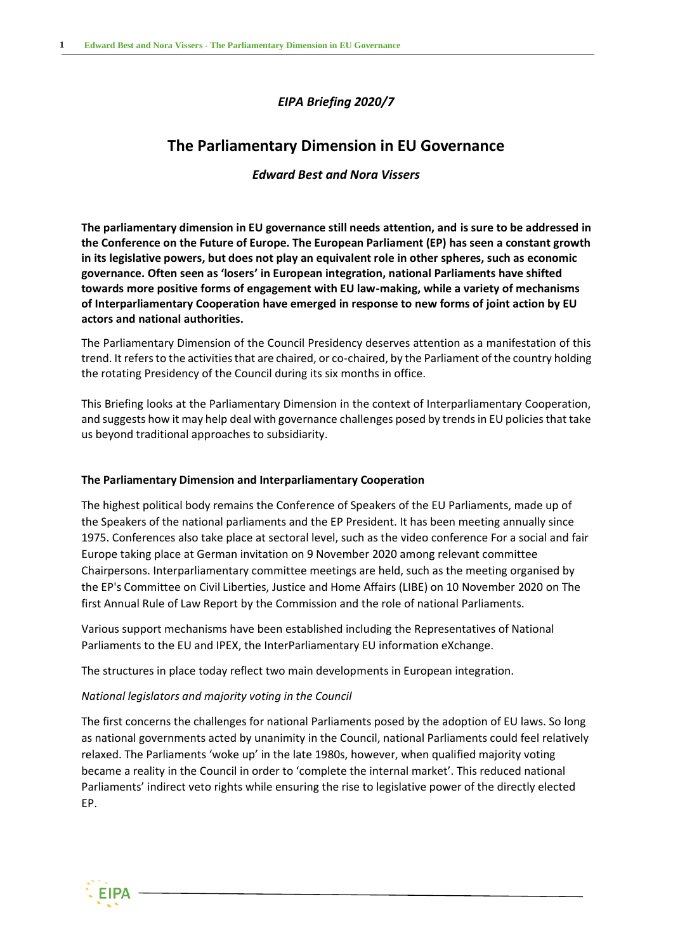## *EIPA Briefing 2020/7*

# **The Parliamentary Dimension in EU Governance**

## *Edward Best and Nora Vissers*

**The parliamentary dimension in EU governance still needs attention, and is sure to be addressed in the Conference on the Future of Europe. The European Parliament (EP) has seen a constant growth in its legislative powers, but does not play an equivalent role in other spheres, such as economic governance. Often seen as 'losers' in European integration, national Parliaments have shifted towards more positive forms of engagement with EU law-making, while a variety of mechanisms of Interparliamentary Cooperation have emerged in response to new forms of joint action by EU actors and national authorities.**

The Parliamentary Dimension of the Council Presidency deserves attention as a manifestation of this trend. It refers to the activities that are chaired, or co-chaired, by the Parliament of the country holding the rotating Presidency of the Council during its six months in office.

This Briefing looks at the Parliamentary Dimension in the context of Interparliamentary Cooperation, and suggests how it may help deal with governance challenges posed by trends in EU policies that take us beyond traditional approaches to subsidiarity.

### **The Parliamentary Dimension and Interparliamentary Cooperation**

The highest political body remains the Conference of Speakers of the EU Parliaments, made up of the Speakers of the national parliaments and the EP President. It has been meeting annually since 1975. Conferences also take place at sectoral level, such as the video conference For a social and fair Europe taking place at German invitation on 9 November 2020 among relevant committee Chairpersons. Interparliamentary committee meetings are held, such as the meeting organised by the EP's Committee on Civil Liberties, Justice and Home Affairs (LIBE) on 10 November 2020 on The first Annual Rule of Law Report by the Commission and the role of national Parliaments.

Various support mechanisms have been established including the Representatives of National Parliaments to the EU and IPEX, the InterParliamentary EU information eXchange.

The structures in place today reflect two main developments in European integration.

## *National legislators and majority voting in the Council*

The first concerns the challenges for national Parliaments posed by the adoption of EU laws. So long as national governments acted by unanimity in the Council, national Parliaments could feel relatively relaxed. The Parliaments 'woke up' in the late 1980s, however, when qualified majority voting became a reality in the Council in order to 'complete the internal market'. This reduced national Parliaments' indirect veto rights while ensuring the rise to legislative power of the directly elected EP.

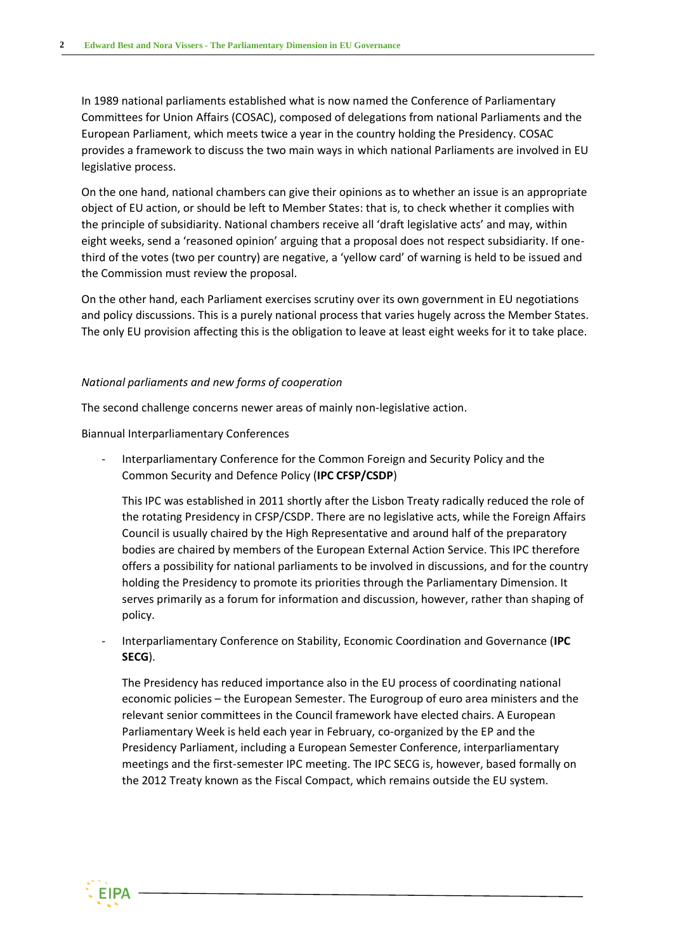In 1989 national parliaments established what is now named the Conference of Parliamentary Committees for Union Affairs (COSAC), composed of delegations from national Parliaments and the European Parliament, which meets twice a year in the country holding the Presidency. COSAC provides a framework to discuss the two main ways in which national Parliaments are involved in EU legislative process.

On the one hand, national chambers can give their opinions as to whether an issue is an appropriate object of EU action, or should be left to Member States: that is, to check whether it complies with the principle of subsidiarity. National chambers receive all 'draft legislative acts' and may, within eight weeks, send a 'reasoned opinion' arguing that a proposal does not respect subsidiarity. If onethird of the votes (two per country) are negative, a 'yellow card' of warning is held to be issued and the Commission must review the proposal.

On the other hand, each Parliament exercises scrutiny over its own government in EU negotiations and policy discussions. This is a purely national process that varies hugely across the Member States. The only EU provision affecting this is the obligation to leave at least eight weeks for it to take place.

#### *National parliaments and new forms of cooperation*

The second challenge concerns newer areas of mainly non-legislative action.

Biannual Interparliamentary Conferences

- Interparliamentary Conference for the Common Foreign and Security Policy and the Common Security and Defence Policy (**IPC CFSP/CSDP**)

This IPC was established in 2011 shortly after the Lisbon Treaty radically reduced the role of the rotating Presidency in CFSP/CSDP. There are no legislative acts, while the Foreign Affairs Council is usually chaired by the High Representative and around half of the preparatory bodies are chaired by members of the European External Action Service. This IPC therefore offers a possibility for national parliaments to be involved in discussions, and for the country holding the Presidency to promote its priorities through the Parliamentary Dimension. It serves primarily as a forum for information and discussion, however, rather than shaping of policy.

- Interparliamentary Conference on Stability, Economic Coordination and Governance (**IPC SECG**).

The Presidency has reduced importance also in the EU process of coordinating national economic policies – the European Semester. The Eurogroup of euro area ministers and the relevant senior committees in the Council framework have elected chairs. A European Parliamentary Week is held each year in February, co-organized by the EP and the Presidency Parliament, including a European Semester Conference, interparliamentary meetings and the first-semester IPC meeting. The IPC SECG is, however, based formally on the 2012 Treaty known as the Fiscal Compact, which remains outside the EU system.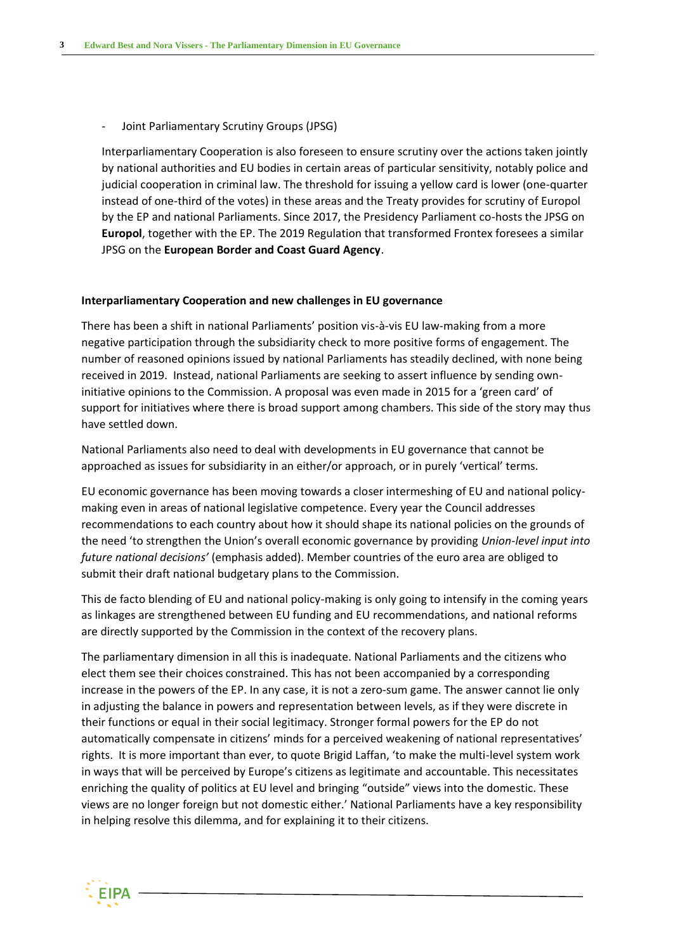Joint Parliamentary Scrutiny Groups (JPSG)

Interparliamentary Cooperation is also foreseen to ensure scrutiny over the actions taken jointly by national authorities and EU bodies in certain areas of particular sensitivity, notably police and judicial cooperation in criminal law. The threshold for issuing a yellow card is lower (one-quarter instead of one-third of the votes) in these areas and the Treaty provides for scrutiny of Europol by the EP and national Parliaments. Since 2017, the Presidency Parliament co-hosts the JPSG on **Europol**, together with the EP. The 2019 Regulation that transformed Frontex foresees a similar JPSG on the **European Border and Coast Guard Agency**.

#### **Interparliamentary Cooperation and new challenges in EU governance**

There has been a shift in national Parliaments' position vis-à-vis EU law-making from a more negative participation through the subsidiarity check to more positive forms of engagement. The number of reasoned opinions issued by national Parliaments has steadily declined, with none being received in 2019. Instead, national Parliaments are seeking to assert influence by sending owninitiative opinions to the Commission. A proposal was even made in 2015 for a 'green card' of support for initiatives where there is broad support among chambers. This side of the story may thus have settled down.

National Parliaments also need to deal with developments in EU governance that cannot be approached as issues for subsidiarity in an either/or approach, or in purely 'vertical' terms.

EU economic governance has been moving towards a closer intermeshing of EU and national policymaking even in areas of national legislative competence. Every year the Council addresses recommendations to each country about how it should shape its national policies on the grounds of the need 'to strengthen the Union's overall economic governance by providing *Union-level input into future national decisions'* (emphasis added). Member countries of the euro area are obliged to submit their draft national budgetary plans to the Commission.

This de facto blending of EU and national policy-making is only going to intensify in the coming years as linkages are strengthened between EU funding and EU recommendations, and national reforms are directly supported by the Commission in the context of the recovery plans.

The parliamentary dimension in all this is inadequate. National Parliaments and the citizens who elect them see their choices constrained. This has not been accompanied by a corresponding increase in the powers of the EP. In any case, it is not a zero-sum game. The answer cannot lie only in adjusting the balance in powers and representation between levels, as if they were discrete in their functions or equal in their social legitimacy. Stronger formal powers for the EP do not automatically compensate in citizens' minds for a perceived weakening of national representatives' rights. It is more important than ever, to quote Brigid Laffan, 'to make the multi-level system work in ways that will be perceived by Europe's citizens as legitimate and accountable. This necessitates enriching the quality of politics at EU level and bringing "outside" views into the domestic. These views are no longer foreign but not domestic either.' National Parliaments have a key responsibility in helping resolve this dilemma, and for explaining it to their citizens.